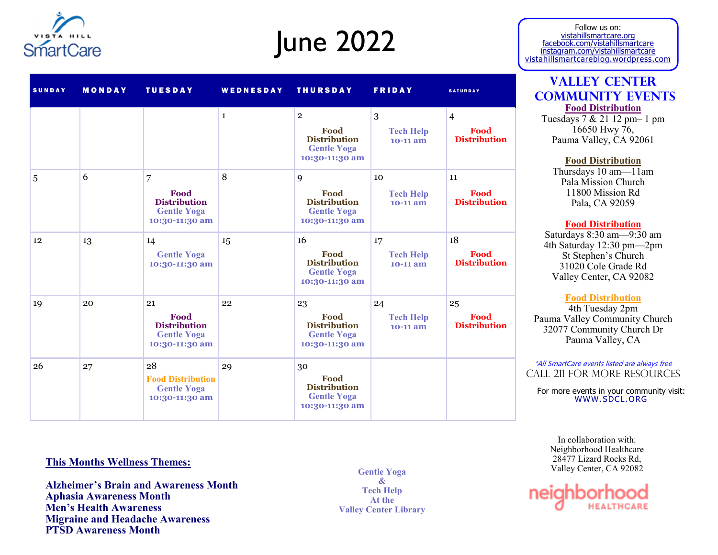

# June 2022

| <b>SUNDAY</b> | <b>MONDAY</b> | <b>TUESDAY</b>                                                            | WEDNESDAY    | <b>THURSDAY</b>                                                                       | <b>FRIDAY</b>                        | <b>SATURDAY</b>                               |
|---------------|---------------|---------------------------------------------------------------------------|--------------|---------------------------------------------------------------------------------------|--------------------------------------|-----------------------------------------------|
|               |               |                                                                           | $\mathbf{1}$ | $\overline{2}$<br>Food<br><b>Distribution</b><br><b>Gentle Yoga</b><br>10:30-11:30 am | 3<br><b>Tech Help</b><br>10-11 am    | $\overline{4}$<br>Food<br><b>Distribution</b> |
| 5             | 6             | 7<br>Food<br><b>Distribution</b><br><b>Gentle Yoga</b><br>10:30-11:30 am  | 8            | 9<br>Food<br><b>Distribution</b><br><b>Gentle Yoga</b><br>10:30-11:30 am              | 10<br><b>Tech Help</b><br>10-11 am   | 11<br>Food<br><b>Distribution</b>             |
| 12            | 13            | 14<br><b>Gentle Yoga</b><br>10:30-11:30 am                                | 15           | 16<br>Food<br><b>Distribution</b><br><b>Gentle Yoga</b><br>10:30-11:30 am             | 17<br><b>Tech Help</b><br>$10-11$ am | 18<br>Food<br><b>Distribution</b>             |
| 19            | 20            | 21<br>Food<br><b>Distribution</b><br><b>Gentle Yoga</b><br>10:30-11:30 am | 22           | 23<br>Food<br><b>Distribution</b><br><b>Gentle Yoga</b><br>10:30-11:30 am             | 24<br><b>Tech Help</b><br>$10-11$ am | 25<br>Food<br><b>Distribution</b>             |
| 26            | 27            | 28<br><b>Food Distribution</b><br><b>Gentle Yoga</b><br>10:30-11:30 am    | 29           | 30<br>Food<br><b>Distribution</b><br><b>Gentle Yoga</b><br>10:30-11:30 am             |                                      |                                               |

# **This Months Wellness Themes:**

**Alzheimer's Brain and Awareness Month Aphasia Awareness Month Men's Health Awareness Migraine and Headache Awareness PTSD Awareness Month**

**Gentle Yoga & Tech Help At the Valley Center Library**

Follow us on: vistahillsmartcare.org facebook.com/vistahillsmartcare instagram.com/vistahillsmartcare vistahillsmartcareblog.wordpress.com

# **Valley Center Community Events Food Distribution**

Tuesdays 7 & 21 12 pm– 1 pm 16650 Hwy 76, Pauma Valley, CA 92061

**Food Distribution**

Thursdays 10 am—11am Pala Mission Church 11800 Mission Rd Pala, CA 92059

## **Food Distribution**

Saturdays 8:30 am—9:30 am 4th Saturday 12:30 pm—2pm St Stephen's Church 31020 Cole Grade Rd Valley Center, CA 92082

### **Food Distribution**

4th Tuesday 2pm Pauma Valley Community Church 32077 Community Church Dr Pauma Valley, CA

\*All SmartCare events listed are always free Call 211 for more resources

For more events in your community visit: WWW.SDCL.ORG

In collaboration with: Neighborhood Healthcare 28477 Lizard Rocks Rd, Valley Center, CA 92082